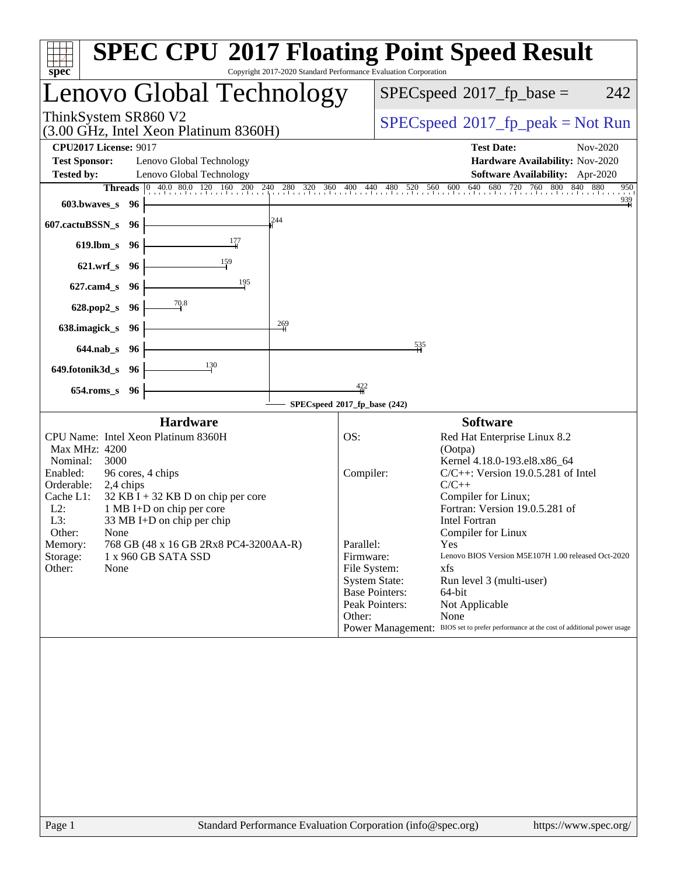| $spec^*$                            |                              | <b>SPEC CPU®2017 Floating Point Speed Result</b>                                                           | Copyright 2017-2020 Standard Performance Evaluation Corporation |                                              |                                         |                                                                                        |                       |                 |  |  |
|-------------------------------------|------------------------------|------------------------------------------------------------------------------------------------------------|-----------------------------------------------------------------|----------------------------------------------|-----------------------------------------|----------------------------------------------------------------------------------------|-----------------------|-----------------|--|--|
|                                     |                              | Lenovo Global Technology                                                                                   |                                                                 |                                              |                                         | $SPEC speed^{\circ}2017$ _fp_base =                                                    |                       | 242             |  |  |
| ThinkSystem SR860 V2                |                              | (3.00 GHz, Intel Xeon Platinum 8360H)                                                                      |                                                                 | $SPEC speed^{\circ}2017\_fp\_peak = Not Run$ |                                         |                                                                                        |                       |                 |  |  |
| <b>CPU2017 License: 9017</b>        |                              |                                                                                                            |                                                                 | <b>Test Date:</b>                            | Nov-2020                                |                                                                                        |                       |                 |  |  |
| <b>Test Sponsor:</b>                |                              | Lenovo Global Technology                                                                                   |                                                                 | Hardware Availability: Nov-2020              |                                         |                                                                                        |                       |                 |  |  |
| <b>Tested by:</b>                   |                              | Lenovo Global Technology                                                                                   |                                                                 |                                              |                                         | Software Availability: Apr-2020                                                        |                       | 950             |  |  |
| $603.bwaves$ $96$                   |                              | <b>Threads</b> 0 40.0 80.0 120 160 200 240 280 320 360 400 440 480 520 560 600 640 680 720 760 800 840 880 |                                                                 |                                              |                                         |                                                                                        |                       | $\frac{939}{4}$ |  |  |
| 607.cactuBSSN_s 96                  |                              |                                                                                                            | 244                                                             |                                              |                                         |                                                                                        |                       |                 |  |  |
| 619.lbm_s $96$                      |                              |                                                                                                            |                                                                 |                                              |                                         |                                                                                        |                       |                 |  |  |
| $621.wrf$ <sub>S</sub> $96$         |                              |                                                                                                            |                                                                 |                                              |                                         |                                                                                        |                       |                 |  |  |
| 627.cam4_s 96                       |                              |                                                                                                            |                                                                 |                                              |                                         |                                                                                        |                       |                 |  |  |
| 628.pop2_s 96 -                     |                              | $-70.8$                                                                                                    |                                                                 |                                              |                                         |                                                                                        |                       |                 |  |  |
| $638$ .imagick_s $96$               |                              |                                                                                                            | $\frac{269}{1}$                                                 |                                              |                                         |                                                                                        |                       |                 |  |  |
| $644$ .nab_s 96                     |                              |                                                                                                            |                                                                 |                                              | 535                                     |                                                                                        |                       |                 |  |  |
| $649.$ fotonik $3d_s$ 96            |                              | $\frac{130}{2}$                                                                                            |                                                                 |                                              |                                         |                                                                                        |                       |                 |  |  |
| 654.roms_s 96                       |                              |                                                                                                            |                                                                 | $\frac{422}{4}$                              |                                         |                                                                                        |                       |                 |  |  |
|                                     | SPECspeed®2017_fp_base (242) |                                                                                                            |                                                                 |                                              |                                         |                                                                                        |                       |                 |  |  |
|                                     |                              | Hardware                                                                                                   |                                                                 |                                              |                                         | <b>Software</b>                                                                        |                       |                 |  |  |
| Max MHz: 4200                       |                              | CPU Name: Intel Xeon Platinum 8360H                                                                        |                                                                 | OS:                                          |                                         | Red Hat Enterprise Linux 8.2<br>(Ootpa)                                                |                       |                 |  |  |
| Nominal:<br>3000                    |                              |                                                                                                            |                                                                 |                                              |                                         | Kernel 4.18.0-193.el8.x86_64                                                           |                       |                 |  |  |
| Enabled:<br>Orderable:<br>2,4 chips |                              | 96 cores, 4 chips                                                                                          |                                                                 | Compiler:                                    |                                         | $C/C++$ : Version 19.0.5.281 of Intel<br>$C/C++$                                       |                       |                 |  |  |
| Cache L1:                           |                              | $32$ KB I + 32 KB D on chip per core                                                                       |                                                                 |                                              |                                         | Compiler for Linux;                                                                    |                       |                 |  |  |
| L2:                                 |                              | 1 MB I+D on chip per core                                                                                  |                                                                 |                                              | Fortran: Version 19.0.5.281 of          |                                                                                        |                       |                 |  |  |
| L3:<br>Other:<br>None               |                              | 33 MB I+D on chip per chip                                                                                 |                                                                 |                                              |                                         | <b>Intel Fortran</b><br>Compiler for Linux                                             |                       |                 |  |  |
| Memory:                             |                              | 768 GB (48 x 16 GB 2Rx8 PC4-3200AA-R)                                                                      |                                                                 | Parallel:                                    |                                         | Yes                                                                                    |                       |                 |  |  |
| Storage:<br>Other:<br>None          |                              | 1 x 960 GB SATA SSD                                                                                        |                                                                 | Firmware:<br>File System:                    |                                         | Lenovo BIOS Version M5E107H 1.00 released Oct-2020<br>xfs                              |                       |                 |  |  |
|                                     |                              |                                                                                                            |                                                                 | <b>System State:</b>                         |                                         | Run level 3 (multi-user)                                                               |                       |                 |  |  |
|                                     |                              |                                                                                                            |                                                                 |                                              | <b>Base Pointers:</b><br>Peak Pointers: | 64-bit<br>Not Applicable                                                               |                       |                 |  |  |
|                                     |                              |                                                                                                            |                                                                 | Other:                                       |                                         | None                                                                                   |                       |                 |  |  |
|                                     |                              |                                                                                                            |                                                                 |                                              |                                         | Power Management: BIOS set to prefer performance at the cost of additional power usage |                       |                 |  |  |
|                                     |                              |                                                                                                            |                                                                 |                                              |                                         |                                                                                        |                       |                 |  |  |
|                                     |                              |                                                                                                            |                                                                 |                                              |                                         |                                                                                        |                       |                 |  |  |
|                                     |                              |                                                                                                            |                                                                 |                                              |                                         |                                                                                        |                       |                 |  |  |
|                                     |                              |                                                                                                            |                                                                 |                                              |                                         |                                                                                        |                       |                 |  |  |
|                                     |                              |                                                                                                            |                                                                 |                                              |                                         |                                                                                        |                       |                 |  |  |
|                                     |                              |                                                                                                            |                                                                 |                                              |                                         |                                                                                        |                       |                 |  |  |
|                                     |                              |                                                                                                            |                                                                 |                                              |                                         |                                                                                        |                       |                 |  |  |
|                                     |                              |                                                                                                            |                                                                 |                                              |                                         |                                                                                        |                       |                 |  |  |
|                                     |                              |                                                                                                            |                                                                 |                                              |                                         |                                                                                        |                       |                 |  |  |
| Page 1                              |                              | Standard Performance Evaluation Corporation (info@spec.org)                                                |                                                                 |                                              |                                         |                                                                                        | https://www.spec.org/ |                 |  |  |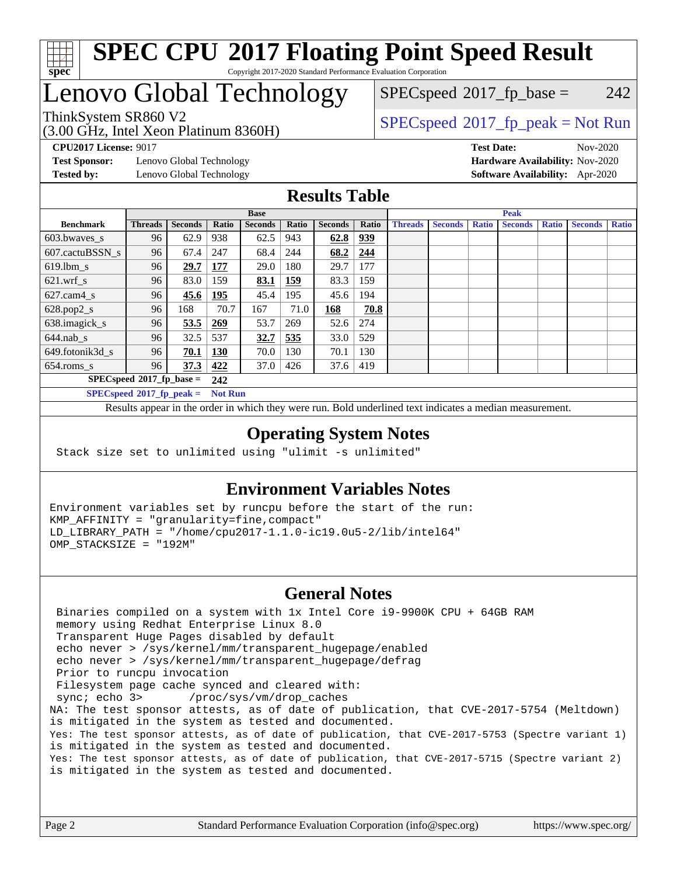

# Lenovo Global Technology

(3.00 GHz, Intel Xeon Platinum 8360H)

 $SPECspeed^{\circledcirc}2017_fp\_base = 242$  $SPECspeed^{\circledcirc}2017_fp\_base = 242$ 

### ThinkSystem SR860 V2<br>(3.00 GHz, Intel Yogn Platinum 8360H) [SPECspeed](http://www.spec.org/auto/cpu2017/Docs/result-fields.html#SPECspeed2017fppeak)®[2017\\_fp\\_peak = N](http://www.spec.org/auto/cpu2017/Docs/result-fields.html#SPECspeed2017fppeak)ot Run

**[CPU2017 License:](http://www.spec.org/auto/cpu2017/Docs/result-fields.html#CPU2017License)** 9017 **[Test Date:](http://www.spec.org/auto/cpu2017/Docs/result-fields.html#TestDate)** Nov-2020

**[Test Sponsor:](http://www.spec.org/auto/cpu2017/Docs/result-fields.html#TestSponsor)** Lenovo Global Technology **[Hardware Availability:](http://www.spec.org/auto/cpu2017/Docs/result-fields.html#HardwareAvailability)** Nov-2020 **[Tested by:](http://www.spec.org/auto/cpu2017/Docs/result-fields.html#Testedby)** Lenovo Global Technology **[Software Availability:](http://www.spec.org/auto/cpu2017/Docs/result-fields.html#SoftwareAvailability)** Apr-2020

#### **[Results Table](http://www.spec.org/auto/cpu2017/Docs/result-fields.html#ResultsTable)**

|                             | <b>Base</b>    |                |                |                |              |                | <b>Peak</b> |                |                |              |                |              |                |              |
|-----------------------------|----------------|----------------|----------------|----------------|--------------|----------------|-------------|----------------|----------------|--------------|----------------|--------------|----------------|--------------|
| <b>Benchmark</b>            | <b>Threads</b> | <b>Seconds</b> | Ratio          | <b>Seconds</b> | <b>Ratio</b> | <b>Seconds</b> | Ratio       | <b>Threads</b> | <b>Seconds</b> | <b>Ratio</b> | <b>Seconds</b> | <b>Ratio</b> | <b>Seconds</b> | <b>Ratio</b> |
| 603.bwayes s                | 96             | 62.9           | 938            | 62.5           | 943          | 62.8           | 939         |                |                |              |                |              |                |              |
| 607.cactuBSSN s             | 96             | 67.4           | 247            | 68.4           | 244          | 68.2           | 244         |                |                |              |                |              |                |              |
| $619.$ lbm s                | 96             | 29.7           | 177            | 29.0           | 180          | 29.7           | 177         |                |                |              |                |              |                |              |
| $621.wrf$ s                 | 96             | 83.0           | 159            | 83.1           | 159          | 83.3           | 159         |                |                |              |                |              |                |              |
| $627$ .cam4 s               | 96             | 45.6           | 195            | 45.4           | 195          | 45.6           | 194         |                |                |              |                |              |                |              |
| $628.pop2_s$                | 96             | 168            | 70.7           | 167            | 71.0         | 168            | 70.8        |                |                |              |                |              |                |              |
| 638.imagick_s               | 96             | 53.5           | 269            | 53.7           | 269          | 52.6           | 274         |                |                |              |                |              |                |              |
| $644$ .nab s                | 96             | 32.5           | 537            | 32.7           | 535          | 33.0           | 529         |                |                |              |                |              |                |              |
| 649.fotonik3d s             | 96             | 70.1           | <b>130</b>     | 70.0           | 130          | 70.1           | 130         |                |                |              |                |              |                |              |
| $654$ .roms s               | 96             | 37.3           | 422            | 37.0           | 426          | 37.6           | 419         |                |                |              |                |              |                |              |
| $SPECspeed*2017_fp\_base =$ |                |                | 242            |                |              |                |             |                |                |              |                |              |                |              |
| $SPECspeed*2017_fp\_peak =$ |                |                | <b>Not Run</b> |                |              |                |             |                |                |              |                |              |                |              |

Results appear in the [order in which they were run.](http://www.spec.org/auto/cpu2017/Docs/result-fields.html#RunOrder) Bold underlined text [indicates a median measurement](http://www.spec.org/auto/cpu2017/Docs/result-fields.html#Median).

#### **[Operating System Notes](http://www.spec.org/auto/cpu2017/Docs/result-fields.html#OperatingSystemNotes)**

Stack size set to unlimited using "ulimit -s unlimited"

#### **[Environment Variables Notes](http://www.spec.org/auto/cpu2017/Docs/result-fields.html#EnvironmentVariablesNotes)**

Environment variables set by runcpu before the start of the run: KMP\_AFFINITY = "granularity=fine,compact" LD\_LIBRARY\_PATH = "/home/cpu2017-1.1.0-ic19.0u5-2/lib/intel64" OMP\_STACKSIZE = "192M"

#### **[General Notes](http://www.spec.org/auto/cpu2017/Docs/result-fields.html#GeneralNotes)**

 Binaries compiled on a system with 1x Intel Core i9-9900K CPU + 64GB RAM memory using Redhat Enterprise Linux 8.0 Transparent Huge Pages disabled by default echo never > /sys/kernel/mm/transparent\_hugepage/enabled echo never > /sys/kernel/mm/transparent\_hugepage/defrag Prior to runcpu invocation Filesystem page cache synced and cleared with: sync; echo 3> /proc/sys/vm/drop\_caches NA: The test sponsor attests, as of date of publication, that CVE-2017-5754 (Meltdown) is mitigated in the system as tested and documented. Yes: The test sponsor attests, as of date of publication, that CVE-2017-5753 (Spectre variant 1) is mitigated in the system as tested and documented. Yes: The test sponsor attests, as of date of publication, that CVE-2017-5715 (Spectre variant 2) is mitigated in the system as tested and documented.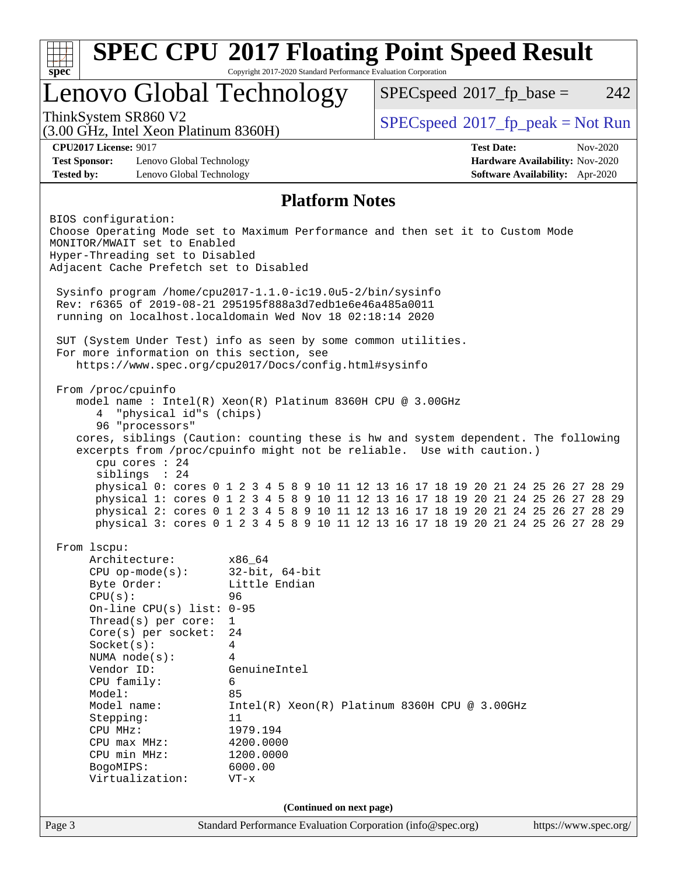| Lenovo Global Technology                                                                                                                                                                                                                                                                                                                              |                                                                                                                                                                          | $SPEC speed^{\circ}2017$ _fp_base =                                                                                                                                                                                                                                                                                                                                                                                                                                                                             | 242                                                                                   |
|-------------------------------------------------------------------------------------------------------------------------------------------------------------------------------------------------------------------------------------------------------------------------------------------------------------------------------------------------------|--------------------------------------------------------------------------------------------------------------------------------------------------------------------------|-----------------------------------------------------------------------------------------------------------------------------------------------------------------------------------------------------------------------------------------------------------------------------------------------------------------------------------------------------------------------------------------------------------------------------------------------------------------------------------------------------------------|---------------------------------------------------------------------------------------|
| ThinkSystem SR860 V2<br>(3.00 GHz, Intel Xeon Platinum 8360H)                                                                                                                                                                                                                                                                                         |                                                                                                                                                                          | $SPEC speed^{\circ}2017\_fp\_peak = Not Run$                                                                                                                                                                                                                                                                                                                                                                                                                                                                    |                                                                                       |
| <b>CPU2017 License: 9017</b><br><b>Test Sponsor:</b><br>Lenovo Global Technology<br><b>Tested by:</b><br>Lenovo Global Technology                                                                                                                                                                                                                     |                                                                                                                                                                          | <b>Test Date:</b>                                                                                                                                                                                                                                                                                                                                                                                                                                                                                               | Nov-2020<br>Hardware Availability: Nov-2020<br><b>Software Availability:</b> Apr-2020 |
|                                                                                                                                                                                                                                                                                                                                                       | <b>Platform Notes</b>                                                                                                                                                    |                                                                                                                                                                                                                                                                                                                                                                                                                                                                                                                 |                                                                                       |
| BIOS configuration:<br>Choose Operating Mode set to Maximum Performance and then set it to Custom Mode<br>MONITOR/MWAIT set to Enabled<br>Hyper-Threading set to Disabled<br>Adjacent Cache Prefetch set to Disabled<br>Sysinfo program /home/cpu2017-1.1.0-ic19.0u5-2/bin/sysinfo                                                                    |                                                                                                                                                                          |                                                                                                                                                                                                                                                                                                                                                                                                                                                                                                                 |                                                                                       |
| Rev: r6365 of 2019-08-21 295195f888a3d7edble6e46a485a0011<br>running on localhost.localdomain Wed Nov 18 02:18:14 2020                                                                                                                                                                                                                                |                                                                                                                                                                          |                                                                                                                                                                                                                                                                                                                                                                                                                                                                                                                 |                                                                                       |
| SUT (System Under Test) info as seen by some common utilities.<br>For more information on this section, see<br>https://www.spec.org/cpu2017/Docs/config.html#sysinfo                                                                                                                                                                                  |                                                                                                                                                                          |                                                                                                                                                                                                                                                                                                                                                                                                                                                                                                                 |                                                                                       |
| model name: $Intel(R)$ Xeon(R) Platinum 8360H CPU @ 3.00GHz<br>"physical id"s (chips)<br>4<br>96 "processors"<br>cpu cores : 24<br>siblings : 24                                                                                                                                                                                                      |                                                                                                                                                                          | cores, siblings (Caution: counting these is hw and system dependent. The following<br>excerpts from /proc/cpuinfo might not be reliable. Use with caution.)<br>physical 0: cores 0 1 2 3 4 5 8 9 10 11 12 13 16 17 18 19 20 21 24 25 26 27 28 29<br>physical 1: cores 0 1 2 3 4 5 8 9 10 11 12 13 16 17 18 19 20 21 24 25 26 27 28 29<br>physical 2: cores 0 1 2 3 4 5 8 9 10 11 12 13 16 17 18 19 20 21 24 25 26 27 28 29<br>physical 3: cores 0 1 2 3 4 5 8 9 10 11 12 13 16 17 18 19 20 21 24 25 26 27 28 29 |                                                                                       |
| From 1scpu:<br>Architecture:<br>$CPU$ op-mode( $s$ ):<br>Byte Order:<br>CPU(s):<br>On-line CPU(s) list: $0-95$<br>Thread( $s$ ) per core:<br>Core(s) per socket:<br>Socket(s):<br>NUMA $node(s):$<br>Vendor ID:<br>CPU family:<br>Model:<br>Model name:<br>Stepping:<br>CPU MHz:<br>$CPU$ max $MHz$ :<br>CPU min MHz:<br>BogoMIPS:<br>Virtualization: | x86_64<br>$32$ -bit, $64$ -bit<br>Little Endian<br>96<br>1<br>24<br>4<br>4<br>GenuineIntel<br>6<br>85<br>11<br>1979.194<br>4200.0000<br>1200.0000<br>6000.00<br>$VT - x$ | $Intel(R) Xeon(R) Platinum 8360H CPU @ 3.00GHz$                                                                                                                                                                                                                                                                                                                                                                                                                                                                 |                                                                                       |
|                                                                                                                                                                                                                                                                                                                                                       | (Continued on next page)                                                                                                                                                 |                                                                                                                                                                                                                                                                                                                                                                                                                                                                                                                 |                                                                                       |
|                                                                                                                                                                                                                                                                                                                                                       |                                                                                                                                                                          |                                                                                                                                                                                                                                                                                                                                                                                                                                                                                                                 |                                                                                       |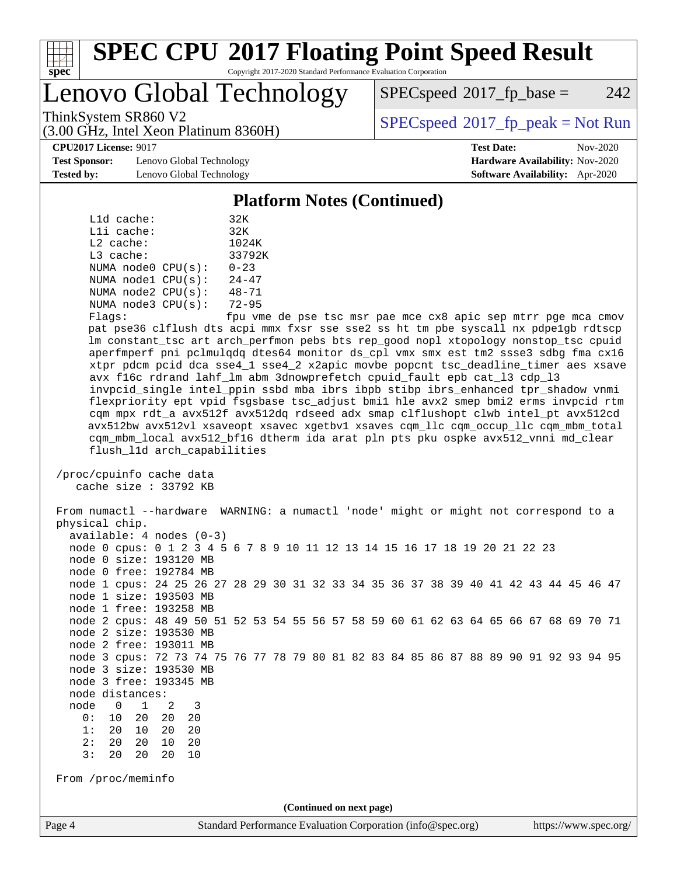

# Lenovo Global Technology

 $SPEC speed^{\circ}2017\_fp\_base = 242$ 

(3.00 GHz, Intel Xeon Platinum 8360H)

ThinkSystem SR860 V2  $\begin{array}{c} \text{SPEC speed} \textdegree 2017\_fp\_peak = Not Run \end{array}$ 

**[CPU2017 License:](http://www.spec.org/auto/cpu2017/Docs/result-fields.html#CPU2017License)** 9017 **[Test Date:](http://www.spec.org/auto/cpu2017/Docs/result-fields.html#TestDate)** Nov-2020

**[Test Sponsor:](http://www.spec.org/auto/cpu2017/Docs/result-fields.html#TestSponsor)** Lenovo Global Technology **[Hardware Availability:](http://www.spec.org/auto/cpu2017/Docs/result-fields.html#HardwareAvailability)** Nov-2020 **[Tested by:](http://www.spec.org/auto/cpu2017/Docs/result-fields.html#Testedby)** Lenovo Global Technology **[Software Availability:](http://www.spec.org/auto/cpu2017/Docs/result-fields.html#SoftwareAvailability)** Apr-2020

#### **[Platform Notes \(Continued\)](http://www.spec.org/auto/cpu2017/Docs/result-fields.html#PlatformNotes)**

| L1d cache:  |                         | 32K       |
|-------------|-------------------------|-----------|
| Lli cache:  |                         | 32K       |
| $L2$ cache: |                         | 1024K     |
| $L3$ cache: |                         | 33792K    |
|             | NUMA node0 CPU(s):      | $0 - 23$  |
|             | NUMA nodel CPU(s):      | $24 - 47$ |
|             | NUMA $node2$ $CPU(s)$ : | $48 - 71$ |
|             | NUMA $node3$ $CPU(s)$ : | $72 - 95$ |
|             |                         |           |

Flags: fpu vme de pse tsc msr pae mce cx8 apic sep mtrr pge mca cmov pat pse36 clflush dts acpi mmx fxsr sse sse2 ss ht tm pbe syscall nx pdpe1gb rdtscp lm constant\_tsc art arch\_perfmon pebs bts rep\_good nopl xtopology nonstop\_tsc cpuid aperfmperf pni pclmulqdq dtes64 monitor ds\_cpl vmx smx est tm2 ssse3 sdbg fma cx16 xtpr pdcm pcid dca sse4\_1 sse4\_2 x2apic movbe popcnt tsc\_deadline\_timer aes xsave avx f16c rdrand lahf\_lm abm 3dnowprefetch cpuid\_fault epb cat\_l3 cdp\_l3 invpcid\_single intel\_ppin ssbd mba ibrs ibpb stibp ibrs\_enhanced tpr\_shadow vnmi flexpriority ept vpid fsgsbase tsc\_adjust bmi1 hle avx2 smep bmi2 erms invpcid rtm cqm mpx rdt\_a avx512f avx512dq rdseed adx smap clflushopt clwb intel\_pt avx512cd avx512bw avx512vl xsaveopt xsavec xgetbv1 xsaves cqm\_llc cqm\_occup\_llc cqm\_mbm\_total cqm\_mbm\_local avx512\_bf16 dtherm ida arat pln pts pku ospke avx512\_vnni md\_clear flush\_l1d arch\_capabilities

 /proc/cpuinfo cache data cache size : 33792 KB

Page 4 Standard Performance Evaluation Corporation [\(info@spec.org\)](mailto:info@spec.org) <https://www.spec.org/> From numactl --hardware WARNING: a numactl 'node' might or might not correspond to a physical chip. available: 4 nodes (0-3) node 0 cpus: 0 1 2 3 4 5 6 7 8 9 10 11 12 13 14 15 16 17 18 19 20 21 22 23 node 0 size: 193120 MB node 0 free: 192784 MB node 1 cpus: 24 25 26 27 28 29 30 31 32 33 34 35 36 37 38 39 40 41 42 43 44 45 46 47 node 1 size: 193503 MB node 1 free: 193258 MB node 2 cpus: 48 49 50 51 52 53 54 55 56 57 58 59 60 61 62 63 64 65 66 67 68 69 70 71 node 2 size: 193530 MB node 2 free: 193011 MB node 3 cpus: 72 73 74 75 76 77 78 79 80 81 82 83 84 85 86 87 88 89 90 91 92 93 94 95 node 3 size: 193530 MB node 3 free: 193345 MB node distances: node 0 1 2 3 0: 10 20 20 20 1: 20 10 20 20 2: 20 20 10 20 3: 20 20 20 10 From /proc/meminfo **(Continued on next page)**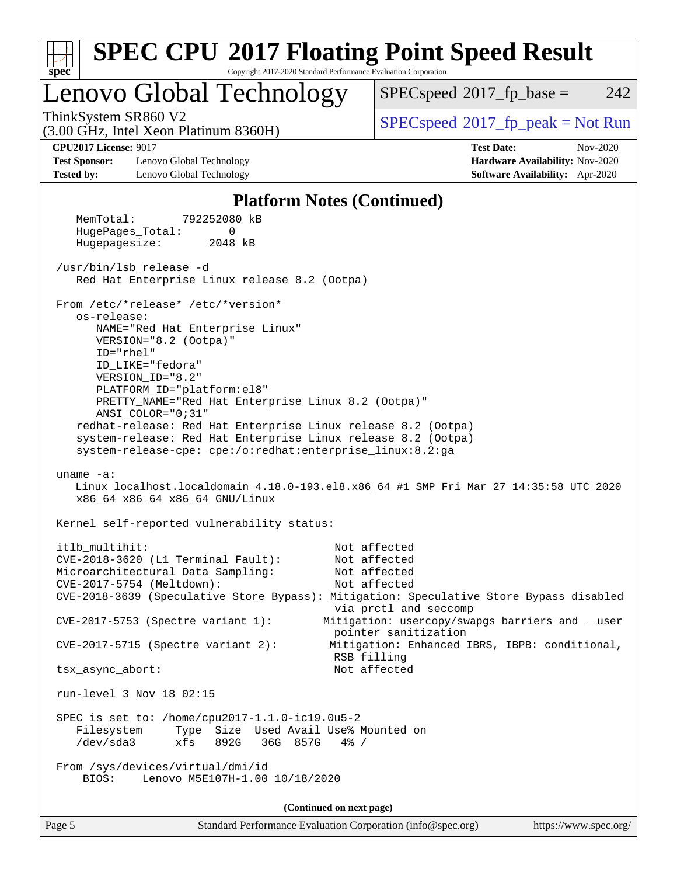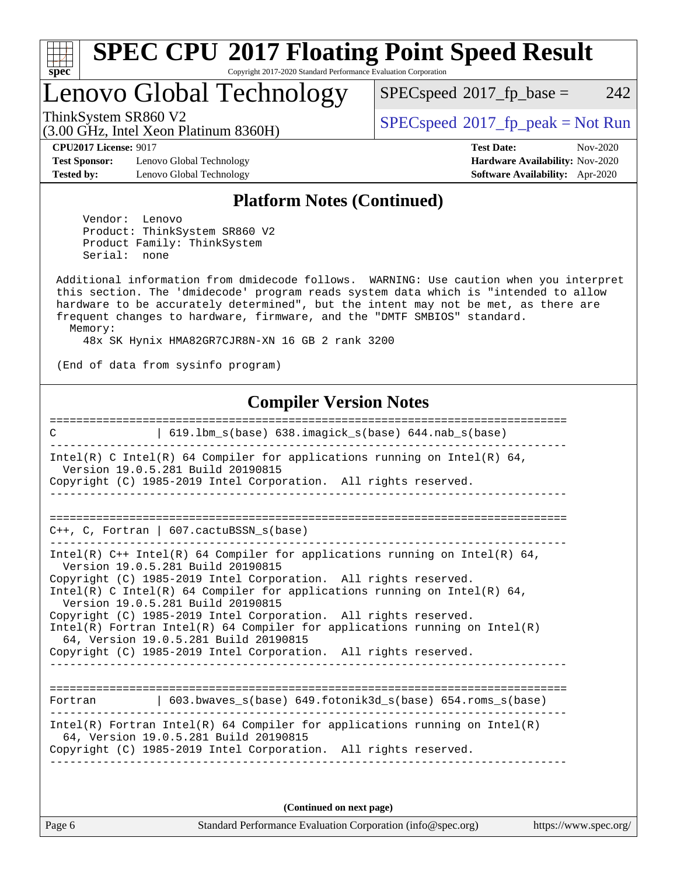

# Lenovo Global Technology

 $SPECspeed^{\circledcirc}2017_fp\_base = 242$  $SPECspeed^{\circledcirc}2017_fp\_base = 242$ 

(3.00 GHz, Intel Xeon Platinum 8360H)

ThinkSystem SR860 V2<br>  $\begin{array}{c} \text{SPEC speed} \text{?}2017 \text{ fp\_peak} = \text{Not Run} \end{array}$ 

**[Test Sponsor:](http://www.spec.org/auto/cpu2017/Docs/result-fields.html#TestSponsor)** Lenovo Global Technology **[Hardware Availability:](http://www.spec.org/auto/cpu2017/Docs/result-fields.html#HardwareAvailability)** Nov-2020 **[Tested by:](http://www.spec.org/auto/cpu2017/Docs/result-fields.html#Testedby)** Lenovo Global Technology **[Software Availability:](http://www.spec.org/auto/cpu2017/Docs/result-fields.html#SoftwareAvailability)** Apr-2020

**[CPU2017 License:](http://www.spec.org/auto/cpu2017/Docs/result-fields.html#CPU2017License)** 9017 **[Test Date:](http://www.spec.org/auto/cpu2017/Docs/result-fields.html#TestDate)** Nov-2020

#### **[Platform Notes \(Continued\)](http://www.spec.org/auto/cpu2017/Docs/result-fields.html#PlatformNotes)**

 Vendor: Lenovo Product: ThinkSystem SR860 V2 Product Family: ThinkSystem Serial: none

 Additional information from dmidecode follows. WARNING: Use caution when you interpret this section. The 'dmidecode' program reads system data which is "intended to allow hardware to be accurately determined", but the intent may not be met, as there are frequent changes to hardware, firmware, and the "DMTF SMBIOS" standard. Memory:

48x SK Hynix HMA82GR7CJR8N-XN 16 GB 2 rank 3200

(End of data from sysinfo program)

#### **[Compiler Version Notes](http://www.spec.org/auto/cpu2017/Docs/result-fields.html#CompilerVersionNotes)**

============================================================================== C | 619.lbm\_s(base) 638.imagick\_s(base) 644.nab\_s(base) ------------------------------------------------------------------------------ Intel(R) C Intel(R) 64 Compiler for applications running on Intel(R)  $64$ , Version 19.0.5.281 Build 20190815 Copyright (C) 1985-2019 Intel Corporation. All rights reserved. ------------------------------------------------------------------------------ ============================================================================== C++, C, Fortran | 607.cactuBSSN\_s(base) ------------------------------------------------------------------------------ Intel(R) C++ Intel(R) 64 Compiler for applications running on Intel(R)  $64$ , Version 19.0.5.281 Build 20190815 Copyright (C) 1985-2019 Intel Corporation. All rights reserved. Intel(R) C Intel(R) 64 Compiler for applications running on Intel(R) 64, Version 19.0.5.281 Build 20190815 Copyright (C) 1985-2019 Intel Corporation. All rights reserved. Intel(R) Fortran Intel(R) 64 Compiler for applications running on Intel(R) 64, Version 19.0.5.281 Build 20190815 Copyright (C) 1985-2019 Intel Corporation. All rights reserved. ------------------------------------------------------------------------------ ============================================================================== Fortran | 603.bwaves\_s(base) 649.fotonik3d\_s(base) 654.roms\_s(base) ------------------------------------------------------------------------------ Intel(R) Fortran Intel(R) 64 Compiler for applications running on Intel(R) 64, Version 19.0.5.281 Build 20190815 Copyright (C) 1985-2019 Intel Corporation. All rights reserved. ------------------------------------------------------------------------------

**(Continued on next page)**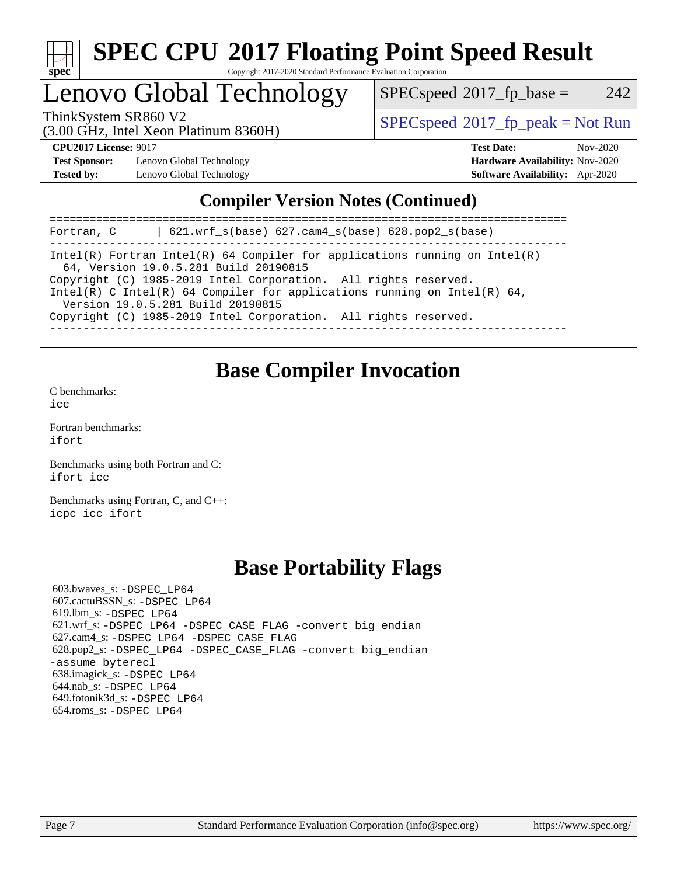

# Lenovo Global Technology

 $SPECspeed^{\circ}2017\_fp\_base = 242$  $SPECspeed^{\circ}2017\_fp\_base = 242$ 

(3.00 GHz, Intel Xeon Platinum 8360H)

ThinkSystem SR860 V2  $\begin{array}{c} \text{SPEC speed} \textdegree 2017\_fp\_peak = Not Run \end{array}$ 

**[Test Sponsor:](http://www.spec.org/auto/cpu2017/Docs/result-fields.html#TestSponsor)** Lenovo Global Technology **[Hardware Availability:](http://www.spec.org/auto/cpu2017/Docs/result-fields.html#HardwareAvailability)** Nov-2020 **[Tested by:](http://www.spec.org/auto/cpu2017/Docs/result-fields.html#Testedby)** Lenovo Global Technology **[Software Availability:](http://www.spec.org/auto/cpu2017/Docs/result-fields.html#SoftwareAvailability)** Apr-2020

**[CPU2017 License:](http://www.spec.org/auto/cpu2017/Docs/result-fields.html#CPU2017License)** 9017 **[Test Date:](http://www.spec.org/auto/cpu2017/Docs/result-fields.html#TestDate)** Nov-2020

#### **[Compiler Version Notes \(Continued\)](http://www.spec.org/auto/cpu2017/Docs/result-fields.html#CompilerVersionNotes)**

============================================================================== Fortran, C | 621.wrf\_s(base) 627.cam4\_s(base) 628.pop2\_s(base) ------------------------------------------------------------------------------ Intel(R) Fortran Intel(R) 64 Compiler for applications running on Intel(R) 64, Version 19.0.5.281 Build 20190815 Copyright (C) 1985-2019 Intel Corporation. All rights reserved. Intel(R) C Intel(R) 64 Compiler for applications running on Intel(R) 64, Version 19.0.5.281 Build 20190815 Copyright (C) 1985-2019 Intel Corporation. All rights reserved. ------------------------------------------------------------------------------

### **[Base Compiler Invocation](http://www.spec.org/auto/cpu2017/Docs/result-fields.html#BaseCompilerInvocation)**

[C benchmarks](http://www.spec.org/auto/cpu2017/Docs/result-fields.html#Cbenchmarks):

[icc](http://www.spec.org/cpu2017/results/res2020q4/cpu2017-20201123-24468.flags.html#user_CCbase_intel_icc_66fc1ee009f7361af1fbd72ca7dcefbb700085f36577c54f309893dd4ec40d12360134090235512931783d35fd58c0460139e722d5067c5574d8eaf2b3e37e92)

[Fortran benchmarks](http://www.spec.org/auto/cpu2017/Docs/result-fields.html#Fortranbenchmarks): [ifort](http://www.spec.org/cpu2017/results/res2020q4/cpu2017-20201123-24468.flags.html#user_FCbase_intel_ifort_8111460550e3ca792625aed983ce982f94888b8b503583aa7ba2b8303487b4d8a21a13e7191a45c5fd58ff318f48f9492884d4413fa793fd88dd292cad7027ca)

[Benchmarks using both Fortran and C](http://www.spec.org/auto/cpu2017/Docs/result-fields.html#BenchmarksusingbothFortranandC): [ifort](http://www.spec.org/cpu2017/results/res2020q4/cpu2017-20201123-24468.flags.html#user_CC_FCbase_intel_ifort_8111460550e3ca792625aed983ce982f94888b8b503583aa7ba2b8303487b4d8a21a13e7191a45c5fd58ff318f48f9492884d4413fa793fd88dd292cad7027ca) [icc](http://www.spec.org/cpu2017/results/res2020q4/cpu2017-20201123-24468.flags.html#user_CC_FCbase_intel_icc_66fc1ee009f7361af1fbd72ca7dcefbb700085f36577c54f309893dd4ec40d12360134090235512931783d35fd58c0460139e722d5067c5574d8eaf2b3e37e92)

[Benchmarks using Fortran, C, and C++:](http://www.spec.org/auto/cpu2017/Docs/result-fields.html#BenchmarksusingFortranCandCXX) [icpc](http://www.spec.org/cpu2017/results/res2020q4/cpu2017-20201123-24468.flags.html#user_CC_CXX_FCbase_intel_icpc_c510b6838c7f56d33e37e94d029a35b4a7bccf4766a728ee175e80a419847e808290a9b78be685c44ab727ea267ec2f070ec5dc83b407c0218cded6866a35d07) [icc](http://www.spec.org/cpu2017/results/res2020q4/cpu2017-20201123-24468.flags.html#user_CC_CXX_FCbase_intel_icc_66fc1ee009f7361af1fbd72ca7dcefbb700085f36577c54f309893dd4ec40d12360134090235512931783d35fd58c0460139e722d5067c5574d8eaf2b3e37e92) [ifort](http://www.spec.org/cpu2017/results/res2020q4/cpu2017-20201123-24468.flags.html#user_CC_CXX_FCbase_intel_ifort_8111460550e3ca792625aed983ce982f94888b8b503583aa7ba2b8303487b4d8a21a13e7191a45c5fd58ff318f48f9492884d4413fa793fd88dd292cad7027ca)

### **[Base Portability Flags](http://www.spec.org/auto/cpu2017/Docs/result-fields.html#BasePortabilityFlags)**

 603.bwaves\_s: [-DSPEC\\_LP64](http://www.spec.org/cpu2017/results/res2020q4/cpu2017-20201123-24468.flags.html#suite_basePORTABILITY603_bwaves_s_DSPEC_LP64) 607.cactuBSSN\_s: [-DSPEC\\_LP64](http://www.spec.org/cpu2017/results/res2020q4/cpu2017-20201123-24468.flags.html#suite_basePORTABILITY607_cactuBSSN_s_DSPEC_LP64) 619.lbm\_s: [-DSPEC\\_LP64](http://www.spec.org/cpu2017/results/res2020q4/cpu2017-20201123-24468.flags.html#suite_basePORTABILITY619_lbm_s_DSPEC_LP64) 621.wrf\_s: [-DSPEC\\_LP64](http://www.spec.org/cpu2017/results/res2020q4/cpu2017-20201123-24468.flags.html#suite_basePORTABILITY621_wrf_s_DSPEC_LP64) [-DSPEC\\_CASE\\_FLAG](http://www.spec.org/cpu2017/results/res2020q4/cpu2017-20201123-24468.flags.html#b621.wrf_s_baseCPORTABILITY_DSPEC_CASE_FLAG) [-convert big\\_endian](http://www.spec.org/cpu2017/results/res2020q4/cpu2017-20201123-24468.flags.html#user_baseFPORTABILITY621_wrf_s_convert_big_endian_c3194028bc08c63ac5d04de18c48ce6d347e4e562e8892b8bdbdc0214820426deb8554edfa529a3fb25a586e65a3d812c835984020483e7e73212c4d31a38223) 627.cam4\_s: [-DSPEC\\_LP64](http://www.spec.org/cpu2017/results/res2020q4/cpu2017-20201123-24468.flags.html#suite_basePORTABILITY627_cam4_s_DSPEC_LP64) [-DSPEC\\_CASE\\_FLAG](http://www.spec.org/cpu2017/results/res2020q4/cpu2017-20201123-24468.flags.html#b627.cam4_s_baseCPORTABILITY_DSPEC_CASE_FLAG) 628.pop2\_s: [-DSPEC\\_LP64](http://www.spec.org/cpu2017/results/res2020q4/cpu2017-20201123-24468.flags.html#suite_basePORTABILITY628_pop2_s_DSPEC_LP64) [-DSPEC\\_CASE\\_FLAG](http://www.spec.org/cpu2017/results/res2020q4/cpu2017-20201123-24468.flags.html#b628.pop2_s_baseCPORTABILITY_DSPEC_CASE_FLAG) [-convert big\\_endian](http://www.spec.org/cpu2017/results/res2020q4/cpu2017-20201123-24468.flags.html#user_baseFPORTABILITY628_pop2_s_convert_big_endian_c3194028bc08c63ac5d04de18c48ce6d347e4e562e8892b8bdbdc0214820426deb8554edfa529a3fb25a586e65a3d812c835984020483e7e73212c4d31a38223) [-assume byterecl](http://www.spec.org/cpu2017/results/res2020q4/cpu2017-20201123-24468.flags.html#user_baseFPORTABILITY628_pop2_s_assume_byterecl_7e47d18b9513cf18525430bbf0f2177aa9bf368bc7a059c09b2c06a34b53bd3447c950d3f8d6c70e3faf3a05c8557d66a5798b567902e8849adc142926523472) 638.imagick\_s: [-DSPEC\\_LP64](http://www.spec.org/cpu2017/results/res2020q4/cpu2017-20201123-24468.flags.html#suite_basePORTABILITY638_imagick_s_DSPEC_LP64) 644.nab\_s: [-DSPEC\\_LP64](http://www.spec.org/cpu2017/results/res2020q4/cpu2017-20201123-24468.flags.html#suite_basePORTABILITY644_nab_s_DSPEC_LP64) 649.fotonik3d\_s: [-DSPEC\\_LP64](http://www.spec.org/cpu2017/results/res2020q4/cpu2017-20201123-24468.flags.html#suite_basePORTABILITY649_fotonik3d_s_DSPEC_LP64) 654.roms\_s: [-DSPEC\\_LP64](http://www.spec.org/cpu2017/results/res2020q4/cpu2017-20201123-24468.flags.html#suite_basePORTABILITY654_roms_s_DSPEC_LP64)